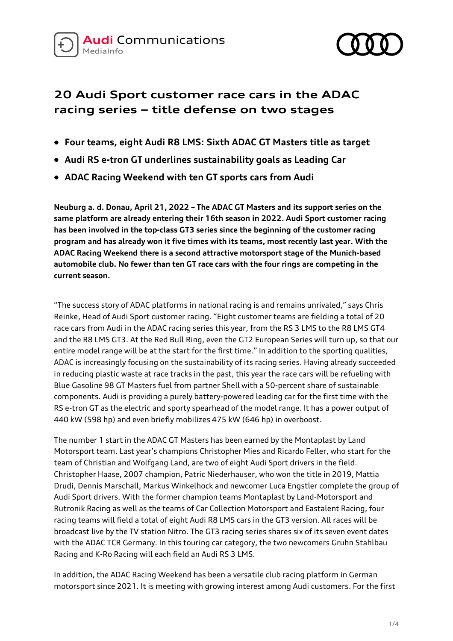



# **20 Audi Sport customer race cars in the ADAC racing series – title defense on two stages**

- **Four teams, eight Audi R8 LMS: Sixth ADAC GT Masters title as target**
- **Audi RS e-tron GT underlines sustainability goals as Leading Car**
- **ADAC Racing Weekend with ten GT sports cars from Audi**

**Neuburg a. d. Donau, April 21, 2022 – The ADAC GT Masters and its support series on the same platform are already entering their 16th season in 2022. Audi Sport customer racing has been involved in the top-class GT3 series since the beginning of the customer racing program and has already won it five times with its teams, most recently last year. With the ADAC Racing Weekend there is a second attractive motorsport stage of the Munich-based automobile club. No fewer than ten GT race cars with the four rings are competing in the current season.**

"The success story of ADAC platforms in national racing is and remains unrivaled," says Chris Reinke, Head of Audi Sport customer racing. "Eight customer teams are fielding a total of 20 race cars from Audi in the ADAC racing series this year, from the RS 3 LMS to the R8 LMS GT4 and the R8 LMS GT3. At the Red Bull Ring, even the GT2 European Series will turn up, so that our entire model range will be at the start for the first time." In addition to the sporting qualities, ADAC is increasingly focusing on the sustainability of its racing series. Having already succeeded in reducing plastic waste at race tracks in the past, this year the race cars will be refueling with Blue Gasoline 98 GT Masters fuel from partner Shell with a 50-percent share of sustainable components. Audi is providing a purely battery-powered leading car for the first time with the RS e-tron GT as the electric and sporty spearhead of the model range. It has a power output of 440 kW (598 hp) and even briefly mobilizes 475 kW (646 hp) in overboost.

The number 1 start in the ADAC GT Masters has been earned by the Montaplast by Land Motorsport team. Last year's champions Christopher Mies and Ricardo Feller, who start for the team of Christian and Wolfgang Land, are two of eight Audi Sport drivers in the field. Christopher Haase, 2007 champion, Patric Niederhauser, who won the title in 2019, Mattia Drudi, Dennis Marschall, Markus Winkelhock and newcomer Luca Engstler complete the group of Audi Sport drivers. With the former champion teams Montaplast by Land-Motorsport and Rutronik Racing as well as the teams of Car Collection Motorsport and Eastalent Racing, four racing teams will field a total of eight Audi R8 LMS cars in the GT3 version. All races will be broadcast live by the TV station Nitro. The GT3 racing series shares six of its seven event dates with the ADAC TCR Germany. In this touring car category, the two newcomers Gruhn Stahlbau Racing and K-Ro Racing will each field an Audi RS 3 LMS.

In addition, the ADAC Racing Weekend has been a versatile club racing platform in German motorsport since 2021. It is meeting with growing interest among Audi customers. For the first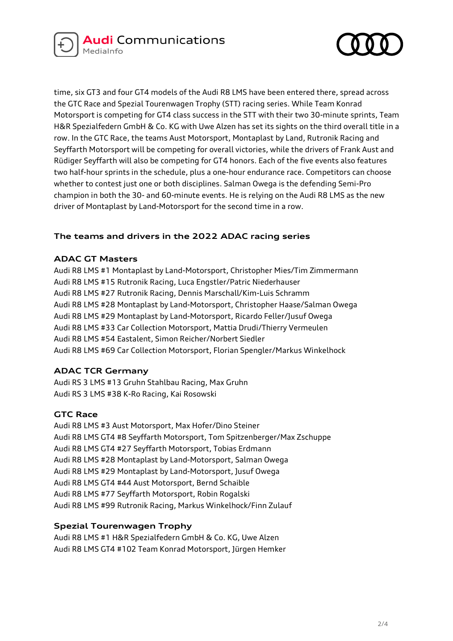



time, six GT3 and four GT4 models of the Audi R8 LMS have been entered there, spread across the GTC Race and Spezial Tourenwagen Trophy (STT) racing series. While Team Konrad Motorsport is competing for GT4 class success in the STT with their two 30-minute sprints, Team H&R Spezialfedern GmbH & Co. KG with Uwe Alzen has set its sights on the third overall title in a row. In the GTC Race, the teams Aust Motorsport, Montaplast by Land, Rutronik Racing and Seyffarth Motorsport will be competing for overall victories, while the drivers of Frank Aust and Rüdiger Seyffarth will also be competing for GT4 honors. Each of the five events also features two half-hour sprints in the schedule, plus a one-hour endurance race. Competitors can choose whether to contest just one or both disciplines. Salman Owega is the defending Semi-Pro champion in both the 30- and 60-minute events. He is relying on the Audi R8 LMS as the new driver of Montaplast by Land-Motorsport for the second time in a row.

# **The teams and drivers in the 2022 ADAC racing series**

### **ADAC GT Masters**

Audi R8 LMS #1 Montaplast by Land-Motorsport, Christopher Mies/Tim Zimmermann Audi R8 LMS #15 Rutronik Racing, Luca Engstler/Patric Niederhauser Audi R8 LMS #27 Rutronik Racing, Dennis Marschall/Kim-Luis Schramm Audi R8 LMS #28 Montaplast by Land-Motorsport, Christopher Haase/Salman Owega Audi R8 LMS #29 Montaplast by Land-Motorsport, Ricardo Feller/Jusuf Owega Audi R8 LMS #33 Car Collection Motorsport, Mattia Drudi/Thierry Vermeulen Audi R8 LMS #54 Eastalent, Simon Reicher/Norbert Siedler Audi R8 LMS #69 Car Collection Motorsport, Florian Spengler/Markus Winkelhock

# **ADAC TCR Germany**

Audi RS 3 LMS #13 Gruhn Stahlbau Racing, Max Gruhn Audi RS 3 LMS #38 K-Ro Racing, Kai Rosowski

### **GTC Race**

Audi R8 LMS #3 Aust Motorsport, Max Hofer/Dino Steiner Audi R8 LMS GT4 #8 Seyffarth Motorsport, Tom Spitzenberger/Max Zschuppe Audi R8 LMS GT4 #27 Seyffarth Motorsport, Tobias Erdmann Audi R8 LMS #28 Montaplast by Land-Motorsport, Salman Owega Audi R8 LMS #29 Montaplast by Land-Motorsport, Jusuf Owega Audi R8 LMS GT4 #44 Aust Motorsport, Bernd Schaible Audi R8 LMS #77 Seyffarth Motorsport, Robin Rogalski Audi R8 LMS #99 Rutronik Racing, Markus Winkelhock/Finn Zulauf

# **Spezial Tourenwagen Trophy**

Audi R8 LMS #1 H&R Spezialfedern GmbH & Co. KG, Uwe Alzen Audi R8 LMS GT4 #102 Team Konrad Motorsport, Jürgen Hemker